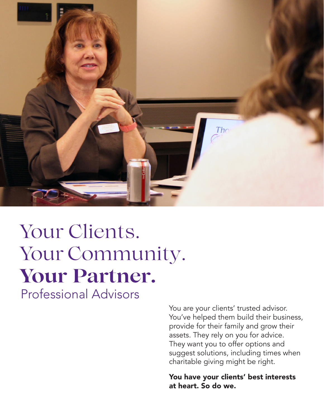

# Your Clients. Your Community. **Your Partner.** Professional Advisors

You are your clients' trusted advisor. You've helped them build their business, provide for their family and grow their assets. They rely on you for advice. They want you to offer options and suggest solutions, including times when charitable giving might be right.

You have your clients' best interests at heart. So do we.